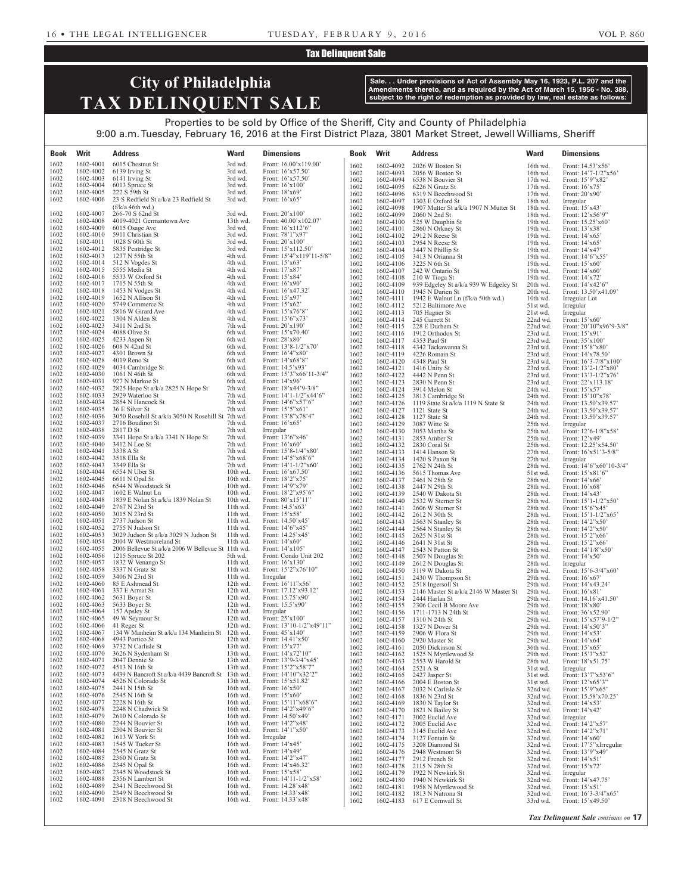### Tax Delinquent Sale

# **City of Philadelphia TAX DELINQUENT SALE**

**Sale. . . Under provisions of Act of Assembly May 16, 1923, P.L. 207 and the Amendments thereto, and as required by the Act of March 15, 1956 - No. 388, subject to the right of redemption as provided by law, real estate as follows:**

### Properties to be sold by Office of the Sheriff, City and County of Philadelphia 9:00 a.m. Tuesday, February 16, 2016 at the First District Plaza, 3801 Market Street, Jewell Williams, Sheriff

| <b>Book</b>  | Writ                   | <b>Address</b>                                                      | <b>Ward</b>          | <b>Dimensions</b>                              | <b>Book</b>  | Writ                   | <b>Address</b>                                             | <b>Ward</b>              | <b>Dimensions</b>                                                         |
|--------------|------------------------|---------------------------------------------------------------------|----------------------|------------------------------------------------|--------------|------------------------|------------------------------------------------------------|--------------------------|---------------------------------------------------------------------------|
| 1602         | 1602-4001              | 6015 Chestnut St                                                    | 3rd wd.              | Front: 16.00'x119.00'                          | 1602         | 1602-4092              | 2026 W Boston St                                           | 16th wd.                 | Front: $14.53'x56'$                                                       |
| 1602<br>1602 | 1602-4002<br>1602-4003 | 6139 Irving St<br>6141 Irving St                                    | 3rd wd.<br>3rd wd.   | Front: 16'x57.50'<br>Front: $16'x57.50'$       | 1602         | 1602-4093              | 2056 W Boston St                                           | 16th wd.                 | Front: $14'7 - 1/2''x56'$                                                 |
| 1602         | 1602-4004              | 6013 Spruce St                                                      | 3rd wd.              | Front: 16'x100'                                | 1602<br>1602 | 1602-4094<br>1602-4095 | 6538 N Bouvier St<br>6226 N Gratz St                       | $17th$ wd.<br>$17th$ wd. | Front: 15'9"x82'<br>Front: $16'x75'$                                      |
| 1602         | 1602-4005              | 222 S 59th St                                                       | 3rd wd.              | Front: 18'x69'                                 | 1602         | 1602-4096              | 6319 N Beechwood St                                        | $17th$ wd.               | Front: 20'x90'                                                            |
| 1602         |                        | 1602-4006 23 S Redfield St a/k/a 23 Redfield St<br>(f/k/a 46th wd.) | 3rd wd.              | Front: $16'x65'$                               | 1602         | 1602-4097              | 1303 E Oxford St                                           | 18th wd.                 | Irregular                                                                 |
| 1602         | 1602-4007              | 266-70 S 62nd St                                                    | 3rd wd.              | Front: $20'x100'$                              | 1602<br>1602 | 1602-4098<br>1602-4099 | 1907 Mutter St a/k/a 1907 N Mutter St<br>2060 N 2nd St     | 18th wd.<br>18th wd.     | Front: 15'x43'<br>Front: 12'x56'9"                                        |
| 1602         | 1602-4008              | 4019-4021 Germantown Ave                                            | 13th wd.             | Front: 40.00'x102.07'                          | 1602         | 1602-4100              | 525 W Dauphin St                                           | 19th wd.                 | Front: $15.25'x60'$                                                       |
| 1602<br>1602 | 1602-4009<br>1602-4010 | 6015 Osage Ave<br>5911 Christian St                                 | 3rd wd.<br>3rd wd.   | Front: $16'x112'6"$<br>Front: 78'1"x97'        | 1602<br>1602 | 1602-4101<br>1602-4102 | 2860 N Orkney St<br>2912 N Reese St                        | 19th wd.<br>19th wd.     | Front: 13'x38'<br>Front: $14'x65'$                                        |
| 1602         | 1602-4011              | 1028 S 60th St                                                      | 3rd wd.              | Front: 20'x100'                                | 1602         | 1602-4103              | 2954 N Reese St                                            | 19th wd.                 | Front: $14'x65'$                                                          |
| 1602         | 1602-4012              | 5835 Pentridge St                                                   | 3rd wd.              | Front: 15'x112.50'                             | 1602         | 1602-4104              | 3447 N Phillip St                                          | 19th wd.                 | Front: 14'x47'                                                            |
| 1602<br>1602 | 1602-4013<br>1602-4014 | 1237 N 55th St<br>512 N Vogdes St                                   | 4th wd.<br>4th wd.   | Front: $15'4''x119'11-5/8''$<br>Front: 15'x63' | 1602<br>1602 | 1602-4105<br>1602-4106 | 3413 N Orianna St<br>3225 N 6th St                         | 19th wd.<br>19th wd.     | Front: $14^{\circ}6^{\circ}x55^{\circ}$<br>Front: $15^{\circ}x60^{\circ}$ |
| 1602         |                        | 1602-4015 5555 Media St                                             | 4th wd.              | Front: 17'x87'                                 | 1602         | 1602-4107              | 242 W Ontario St                                           | 19th wd.                 | Front: $14'x60'$                                                          |
| 1602<br>1602 |                        | 1602-4016 5533 W Oxford St<br>1602-4017 1715 N 55th St              | 4th wd.<br>4th wd.   | Front: $15'x84'$<br>Front: $16'x90'$           | 1602         | 1602-4108              | 210 W Tioga St                                             | 19th wd.                 | Front: 14'x72'                                                            |
| 1602         | 1602-4018              | 1453 N Vodges St                                                    | 4th wd.              | Front: 16'x47.32'                              | 1602<br>1602 | 1602-4109<br>1602-4110 | 939 Edgeley St a/k/a 939 W Edgeley St<br>1945 N Darien St  | 20th wd.<br>20th wd.     | Front: $14'x42'6"$<br>Front: 13.50'x41.09'                                |
| 1602         | 1602-4019              | 1652 N Allison St                                                   | 4th wd.              | Front: 15'x97'                                 | 1602         | 1602-4111              | 1942 E Walnut Ln $(f/k/a 50th wd.)$                        | 10th wd.                 | Irregular Lot                                                             |
| 1602<br>1602 | 1602-4021              | 1602-4020 5749 Commerce St<br>5816 W Girard Ave                     | 4th wd.<br>4th wd.   | Front: $15'x62'$<br>Front: 15'x76'8"           | 1602<br>1602 | 1602-4112<br>1602-4113 | 5212 Baltimore Ave<br>705 Hagner St                        | 51st wd.<br>21st wd.     | Irregular<br>Irregular                                                    |
| 1602         | 1602-4022              | 1304 N Alden St                                                     | 4th wd.              | Front: $15^{\circ}6^{\circ}x73^{\circ}$        | 1602         | 1602-4114              | 245 Garrett St                                             | 22nd wd.                 | Front: $15^{\circ}x60^{\circ}$                                            |
| 1602         | 1602-4023              | 3411 N 2nd St                                                       | 7th wd.              | Front: 20'x190'                                | 1602         | 1602-4115              | 228 E Durham St                                            | 22nd wd.                 | Front: $20'10''x96'9-3/8"$                                                |
| 1602<br>1602 | 1602-4024<br>1602-4025 | 4088 Olive St<br>4233 Aspen St                                      | 6th wd.<br>6th wd.   | Front: 15'x70.40'<br>Front: 28'x80'            | 1602<br>1602 | 1602-4116<br>1602-4117 | 1912 Orthodox St<br>4353 Paul St                           | 23rd wd.<br>23rd wd.     | Front: 15'x91'<br>Front: $35'x100'$                                       |
| 1602         | 1602-4026              | 608 N 42nd St                                                       | 6th wd.              | Front: 13'8-1/2"x70"                           | 1602         | 1602-4118              | 4342 Tackawanna St                                         | 23rd wd.                 | Front: 15'8"x80'                                                          |
| 1602<br>1602 | 1602-4027<br>1602-4028 | 4301 Brown St<br>4019 Reno St                                       | 6th wd.<br>6th wd.   | Front: $16'4''x80'$<br>Front: 14'x68'8"        | 1602         | 1602-4119              | 4226 Romain St                                             | 23rd wd.                 | Front: 14'x78.50'                                                         |
| 1602         | 1602-4029              | 4034 Cambridge St                                                   | 6th wd.              | Front: 14.5'x93'                               | 1602<br>1602 | 1602-4120<br>1602-4121 | 4348 Paul St<br>1416 Unity St                              | 23rd wd.<br>23rd wd.     | Front: 16'3-7/8"x100"<br>Front: 13'2-1/2"x80'                             |
| 1602         | 1602-4030              | 1061 N 46th St                                                      | 6th wd.              | Front: 15'3"x66'11-3/4"                        | 1602         | 1602-4122              | 4442 N Penn St                                             | 23rd wd.                 | Front: $13'3 - 1/2''x76'$                                                 |
| 1602<br>1602 | 1602-4031<br>1602-4032 | 927 N Markoe St<br>2825 Hope St a/k/a 2825 N Hope St                | 6th wd.<br>7th wd.   | Front: 14'x96'<br>Front: $18'x44'9-3/8"$       | 1602<br>1602 | 1602-4123<br>1602-4124 | $2830$ N Penn St                                           | 23rd wd.                 | Front: 22'x113.18'                                                        |
| 1602         | 1602-4033              | 2929 Waterloo St                                                    | 7th wd.              | Front: $14'1 - 1/2''x44'6''$                   | 1602         | 1602-4125              | 3914 Melon St<br>3813 Cambridge St                         | 24th wd.<br>24th wd.     | Front: $15^{\circ}x57^{\circ}$<br>Front: 15'10"x78'                       |
| 1602         | 1602-4034              | 2854 N Hancock St                                                   | 7th wd.              | Front: $14'6''x57'6''$                         | 1602         | 1602-4126              | 1119 State St a/k/a 1119 N State St                        | 24th wd.                 | Front: 13.50'x39.57'                                                      |
| 1602<br>1602 | 1602-4035<br>1602-4036 | 36 E Silver St<br>3050 Rosehill St a/k/a 3050 N Rosehill St 7th wd. | 7th wd.              | Front: 15'5"x61'<br>Front: 13'8"x78'4"         | 1602<br>1602 | 1602-4127<br>1602-4128 | 1121 State St<br>1127 State St                             | 24th wd.<br>24th wd.     | Front: 13.50'x39.57'<br>Front: 13.50'x39.57'                              |
| 1602         |                        | 1602-4037 2716 Boudinot St                                          | 7th wd.              | Front: $16'x65'$                               | 1602         | 1602-4129              | 3087 Witte St                                              | 25th wd.                 | Irregular                                                                 |
| 1602<br>1602 | 1602-4038<br>1602-4039 | 2817 D St<br>3341 Hope St a/k/a 3341 N Hope St                      | 7th wd.<br>7th wd.   | Irregular                                      | 1602         | 1602-4130              | 3053 Martha St                                             | 25th wd.                 | Front: $12^{\circ}6 - 1/8^{\circ}x58^{\circ}$                             |
| 1602         | 1602-4040              | 3412 N Lee St                                                       | 7th wd.              | Front: 13'6"x46"<br>Front: 16'x60'             | 1602<br>1602 | 1602-4131<br>1602-4132 | 2853 Amber St<br>2830 Coral St                             | 25th wd.<br>25th wd.     | Front: 12'x49'<br>Front: $12.25'x54.50'$                                  |
| 1602         | 1602-4041              | 3338 A St                                                           | 7th wd.              | Front: $15'8-1/4''x80'$                        | 1602         | 1602-4133              | 1414 Hanson St                                             | 27th wd.                 | Front: $16'x51'3-5/8"$                                                    |
| 1602<br>1602 | 1602-4043              | 1602-4042 3518 Ella St<br>3349 Ella St                              | 7th wd.<br>7th wd.   | Front: 14'5"x68'6"<br>Front: $14'1-1/2''x60'$  | 1602<br>1602 | 1602-4134<br>1602-4135 | 1420 S Paxon St<br>2762 N 24th St                          | 27th wd.<br>28th wd.     | Irregular<br>Front: 14'6"x60'10-3/4"                                      |
| 1602         | 1602-4044              | 6554 N Uber St                                                      | 10th wd.             | Front: $16'x67.50'$                            | 1602         | 1602-4136              | 5615 Thomas Ave                                            | 51st wd.                 | Front: $15'x81'6"$                                                        |
| 1602         | 1602-4045<br>1602-4046 | 6611 N Opal St                                                      | $10th$ wd.           | Front: 18'2"x75'                               | 1602         | 1602-4137              | 2461 N 28th St                                             | 28th wd.                 | Front: $14'x66'$                                                          |
| 1602<br>1602 | 1602-4047              | 6544 N Woodstock St<br>1602 E Walnut Ln                             | 10th wd.<br>10th wd. | Front: 14'9"x79'<br>Front: $18'2''x95'6''$     | 1602<br>1602 | 1602-4138<br>1602-4139 | 2447 N 29th St<br>2540 W Dakota St                         | 28th wd.<br>28th wd.     | Front: $16^{\circ}x68$<br>Front: 14'x43'                                  |
| 1602         | 1602-4048              | 1839 E Nolan St a/k/a 1839 Nolan St                                 | $10th$ wd.           | Front: 80'x15'11"                              | 1602         | 1602-4140              | 2532 W Sterner St                                          | 28th wd.                 | Front: $15'1-1/2''x50'$                                                   |
| 1602<br>1602 |                        | 1602-4049 2767 N 23rd St<br>1602-4050 3015 N 23rd St                | 11th wd.<br>11th wd. | Front: $14.5'x63'$<br>Front: 15'x58'           | 1602         | 1602-4141              | 2606 W Sterner St<br>1602-4142 2612 N 30th St              | 28th wd.                 | Front: 15'6"x45'<br>28th wd. Front: 15'1-1/2"x65'                         |
| 1602         |                        | 1602-4051 2737 Judson St                                            | 11th wd.             | Front: 14.50'x45'                              | 1602<br>1602 |                        | 1602-4143 2563 N Stanley St                                | 28th wd.                 | Front: 14'2"x50"                                                          |
| 1602         |                        | 1602-4052 2755 N Judson St                                          | 11th wd.             | Front: 14'6"x45'                               | 1602         | 1602-4144              | 2564 N Stanley St                                          | 28th wd.                 | Front: 14'2"x50"                                                          |
| 1602<br>1602 | 1602-4053<br>1602-4054 | 3029 Judson St a/k/a 3029 N Judson St<br>2004 W Westmoreland St     | 11th wd.<br>11th wd. | Front: 14.25'x45'<br>Front: $14'x60'$          | 1602<br>1602 | 1602-4145<br>1602-4146 | 2625 N 31st St<br>2641 N 31st St                           | 28th wd.<br>28th wd.     | Front: 15'2"x66'<br>Front: 15'2"x66'                                      |
| 1602         | 1602-4055              | 2006 Bellevue St a/k/a 2006 W Bellevue St 11th wd.                  |                      | Front: 14'x105'                                | 1602         | 1602-4147              | 2543 N Patton St                                           | 28th wd.                 | Front: 14'1/8"x50"                                                        |
| 1602<br>1602 | 1602-4056<br>1602-4057 | 1215 Spruce St 202<br>1832 W Venango St                             | 5th wd.<br>11th wd.  | Front: Condo Unit 202<br>Front: 16'x130'       | 1602         | 1602-4148              | 2507 N Douglas St                                          | 28th wd.                 | Front: $14'x50'$                                                          |
| 1602         |                        | 1602-4058 3337 N Gratz St                                           | 11th wd.             | Front: $15'2''x76'10''$                        | 1602<br>1602 | 1602-4149<br>1602-4150 | 2612 N Douglas St<br>3119 W Dakota St                      | 28th wd.<br>28th wd.     | Irregular<br>Front: $15^{\circ}6 - 3/4^{\circ} \times 60^{\circ}$         |
| 1602         | 1602-4059              | 3406 N 23rd St                                                      | 11th wd.             | Irregular                                      | 1602         | 1602-4151              | 2430 W Thompson St                                         | 29th wd.                 | Front: $16'x67'$                                                          |
| 1602<br>1602 | 1602-4060<br>1602-4061 | 85 E Ashmead St<br>337 E Armat St                                   | 12th wd.<br>12th wd. | Front: 16'11"x56'<br>Front: 17.12'x93.12'      | 1602<br>1602 | 1602-4152<br>1602-4153 | 2518 Ingersoll St<br>2146 Master St a/k/a 2146 W Master St | 29th wd.<br>29th wd.     | Front: $14'x43.24'$<br>Front: 16'x81                                      |
| 1602         | 1602-4062              | 5631 Boyer St                                                       | 12th wd.             | Front: 15.75'x90'                              | 1602         | 1602-4154              | 2444 Harlan St                                             | 29th wd.                 | Front: 14.16'x41.50'                                                      |
| 1602<br>1602 | 1602-4063<br>1602-4064 | 5633 Boyer St<br>157 Apsley St                                      | 12th wd.<br>12th wd. | Front: $15.5'x90'$<br>Irregular                | 1602         | 1602-4155              | 2306 Cecil B Moore Ave                                     | 29th wd.                 | Front: 18'x80'                                                            |
| 1602         | 1602-4065              | 49 W Seymour St                                                     | 12th wd.             | Front: 25'x100'                                | 1602<br>1602 | 1602-4156<br>1602-4157 | 1711-1713 N 24th St<br>1310 N 24th St                      | 29th wd.<br>29th wd.     | Front: 36'x52.90'<br>Front: $15'x57'9-1/2"$                               |
| 1602         | 1602-4066              | 41 Reger St                                                         | 12th wd.             | Front: 13'10-1/2"x49'11"                       | 1602         | 1602-4158              | 1327 N Dover St                                            | 29th wd.                 | Front: $14'x50'3"$                                                        |
| 1602<br>1602 | 1602-4067<br>1602-4068 | 134 W Manheim St a/k/a 134 Manheim St 12th wd.<br>4943 Portico St   | 12th wd.             | Front: 45'x140'<br>Front: 14.41'x50'           | 1602<br>1602 | 1602-4159<br>1602-4160 | 2906 W Flora St<br>2920 Master St                          | 29th wd.<br>29th wd.     | Front: $14'x53'$<br>Front: $14'x64'$                                      |
| 1602         |                        | 1602-4069 3732 N Carlisle St                                        | 13th wd.             | Front: $15'x77'$                               | 1602         | 1602-4161              | 2050 Dickinson St                                          | 36th wd.                 | Front: $15^{\circ}x65^{\circ}$                                            |
| 1602         | 1602-4070              | 3626 N Sydenham St                                                  | 13th wd.             | Front: $14'x72'10''$                           | 1602         | 1602-4162              | 1525 N Myrtlewood St                                       | 29th wd.                 | Front: 15'3"x52'                                                          |
| 1602<br>1602 | 1602-4071<br>1602-4072 | 2047 Dennie St<br>4513 N 16th St                                    | 13th wd.<br>13th wd. | Front: 13'9-3/4"x45'<br>Front: 15'2"x58'7"     | 1602<br>1602 | 1602-4163<br>1602-4164 | 2553 W Harold St<br>2521 A St                              | 28th wd.<br>31st wd.     | Front: 18'x51.75'<br>Irregular                                            |
| 1602         | 1602-4073              | 4439 N Bancroft St a/k/a 4439 Bancroft St 13th wd.                  |                      | Front: 14'10"x32'2"                            | 1602         | 1602-4165              | 2427 Jasper St                                             | 31st wd.                 | Front: 13'7"x53'6"                                                        |
| 1602<br>1602 | 1602-4074<br>1602-4075 | 4526 N Colorado St<br>2441 N 15th St                                | 13th wd.<br>16th wd. | Front: 15'x51.82'<br>Front: $16'x50'$          | 1602<br>1602 | 1602-4166<br>1602-4167 | 2004 E Boston St<br>2032 N Carlisle St                     | 31st wd.<br>32nd wd.     | Front: $12^{\circ}x65^{\circ}3"$<br>Front: 15'9"x65'                      |
| 1602         | 1602-4076              | 2545 N 16th St                                                      | 16th wd.             | Front: 15'x60'                                 | 1602         | 1602-4168              | 1836 N 23rd St                                             | 32nd wd.                 | Front: 15.58'x70.25'                                                      |
| 1602         | 1602-4077              | 2228 N 16th St                                                      | 16th wd.             | Front: 15'11"x68'6"                            | 1602         | 1602-4169              | 1830 N Taylor St                                           | 32nd wd.                 | Front: $14^\circ x53^\circ$                                               |
| 1602<br>1602 | 1602-4078<br>1602-4079 | 2248 N Chadwick St<br>2610 N Colorado St                            | 16th wd.<br>16th wd. | Front: 14'2"x49'6"<br>Front: 14.50'x49'        | 1602<br>1602 | 1602-4170<br>1602-4171 | 1821 N Bailey St<br>3002 Euclid Ave                        | 32nd wd.<br>32nd wd.     | Front: 14'x42'<br>Irregular                                               |
| 1602         | 1602-4080              | 2244 N Bouvier St                                                   | 16th wd.             | Front: 14'2"x48'                               | 1602         | 1602-4172              | 3005 Euclid Ave                                            | 32nd wd.                 | Front: 14'2"x57'                                                          |
| 1602<br>1602 | 1602-4081<br>1602-4082 | 2304 N Bouvier St<br>1613 W York St                                 | 16th wd.<br>16th wd. | Front: 14'1"x50'<br>Irregular                  | 1602         | 1602-4173              | 3145 Euclid Ave                                            | 32nd wd.                 | Front: 14'2"x71'                                                          |
| 1602         | 1602-4083              | 1545 W Tucker St                                                    | 16th wd.             | Front: $14^\circ x45^\circ$                    | 1602<br>1602 | 1602-4174<br>1602-4175 | 3127 Fontain St<br>3208 Diamond St                         | 32nd wd.<br>32nd wd.     | Front: $14'x60'$<br>Front: 17'5"xIrregular                                |
| 1602         | 1602-4084              | 2545 N Gratz St                                                     | 16th wd.             | Front: $14'x49'$                               | 1602         | 1602-4176              | 2948 Westmont St                                           | 32nd wd.                 | Front: 13'9"x49'                                                          |
| 1602<br>1602 | 1602-4085<br>1602-4086 | 2360 N Gratz St<br>2345 N Opal St                                   | 16th wd.<br>16th wd. | Front: 14'2"x47'<br>Front: 14'x46.32'          | 1602<br>1602 | 1602-4177<br>1602-4178 | 2912 French St<br>2115 N 28th St                           | 32nd wd.<br>32nd wd.     | Front: $14'x51'$<br>Front: 15'x72'                                        |
| 1602         | 1602-4087              | 2345 N Woodstock St                                                 | 16th wd.             | Front: 15'x58'                                 | 1602         | 1602-4179              | 1922 N Newkirk St                                          | 32nd wd.                 | Irregular                                                                 |
| 1602         | 1602-4088              | 2356 N Lambert St<br>2341 N Beechwood St                            | 16th wd.<br>16th wd. | Front: 14'11-1/2"x58'<br>Front: 14.28'x48'     | 1602         | 1602-4180              | 1940 N Newkirk St                                          | 32nd wd.                 | Front: 14'x47.75'                                                         |
| 1602<br>1602 | 1602-4089<br>1602-4090 | 2349 N Beechwood St                                                 | 16th wd.             | Front: 14.33'x48'                              | 1602<br>1602 | 1602-4181<br>1602-4182 | 1958 N Myrtlewood St<br>1813 N Natrona St                  | 32nd wd.<br>32nd wd.     | Front: 15'x51<br>Front: $16'3-3/4''x65'$                                  |
| 1602         |                        | 1602-4091 2318 N Beechwood St                                       | 16th wd.             | Front: 14.33'x48'                              | 1602         | 1602-4183              | 617 E Cornwall St                                          | 33rd wd.                 | Front: 15'x49.50'                                                         |
|              |                        |                                                                     |                      |                                                |              |                        |                                                            |                          |                                                                           |

*Tax Delinquent Sale continues on* **17**